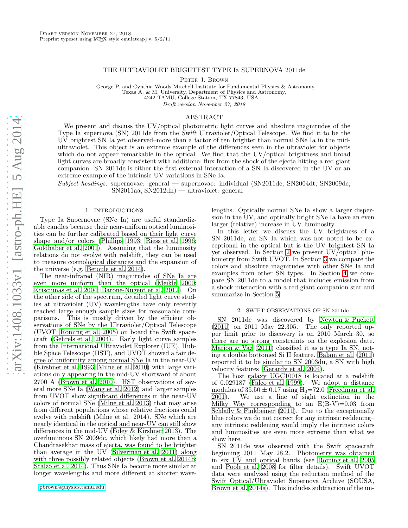# THE ULTRAVIOLET BRIGHTEST TYPE Ia SUPERNOVA 2011de

PETER J. BROWN

George P. and Cynthia Woods Mitchell Institute for Fundamental Physics & Astronomy, Texas A. & M. University, Department of Physics and Astronomy,

4242 TAMU, College Station, TX 77843, USA

Draft version November 27, 2018

# ABSTRACT

We present and discuss the UV/optical photometric light curves and absolute magnitudes of the Type Ia supernova (SN) 2011de from the Swift Ultraviolet/Optical Telescope. We find it to be the UV brightest SN Ia yet observed–more than a factor of ten brighter than normal SNe Ia in the midultraviolet. This object is an extreme example of the differences seen in the ultraviolet for objects which do not appear remarkable in the optical. We find that the UV/optical brightness and broad light curves are broadly consistent with additional flux from the shock of the ejecta hitting a red giant companion. SN 2011de is either the first external interaction of a SN Ia discovered in the UV or an extreme example of the intrinsic UV variations in SNe Ia.

Subject headings: supernovae: general — supernovae: individual (SN2011de, SN2004dt, SN2009dc, SN2011aa, SN2012dn) — ultraviolet: general

### 1. INTRODUCTIONS

Type Ia Supernovae (SNe Ia) are useful standardizable candles because their near-uniform optical luminosities can be further calibrated based on their light curve shape and/or colors [\(Phillips 1993](#page-5-0); [Riess et al. 1996;](#page-5-1) [Goldhaber et al. 2001\)](#page-4-0). Assuming that the luminosity relations do not evolve with redshift, they can be used to measure cosmological distances and the expansion of the universe (e.g. [Betoule et al. 2014\)](#page-4-1).

The near-infrared (NIR) magnitudes of SNe Ia are even more uniform than the optical [\(Meikle 2000;](#page-5-2) [Krisciunas et al. 2004;](#page-5-3) [Barone-Nugent et al. 2012](#page-4-2)). On the other side of the spectrum, detailed light curve studies at ultraviolet (UV) wavelengths have only recently reached large enough sample sizes for reasonable comparisons. This is mostly driven by the efficient observations of SNe by the Ultraviolet/Optical Telescope (UVOT; [Roming et al. 2005\)](#page-5-4) on board the Swift spacecraft [\(Gehrels et al. 2004](#page-4-3)). Early light curve samples from the International Ultraviolet Explorer (IUE), Hubble Space Telescope (HST), and UVOT showed a fair degree of uniformity among normal SNe Ia in the near-UV [\(Kirshner et al. 1993](#page-4-4); [Milne et al. 2010\)](#page-5-5) with large variations only appearing in the mid-UV shortward of about  $2700$  Å [\(Brown et al. 2010\)](#page-4-5). HST observations of several more SNe Ia [\(Wang et al. 2012\)](#page-5-6) and larger samples from UVOT show significant differences in the near-UV colors of normal SNe [\(Milne et al. 2013\)](#page-5-7) that may arise from different populations whose relative fractions could evolve with redshift (Milne et al. 2014). SNe which are nearly identical in the optical and near-UV can still show differences in the mid-UV [\(Foley & Kirshner 2013](#page-4-6)). The overluminous SN 2009dc, which likely had more than a Chandrasekhar mass of ejecta, was found to be brighter than average in the UV [\(Silverman et al. 2011\)](#page-5-8) along with three possibly related objects [\(Brown et al. 2014b;](#page-4-7) [Scalzo et al. 2014](#page-5-9)). Thus SNe Ia become more similar at longer wavelengths and more different at shorter wavelengths. Optically normal SNe Ia show a larger dispersion in the UV, and optically bright SNe Ia have an even larger (relative) increase in UV luminosity.

In this letter we discuss the UV brightness of a SN 2011de, an SN Ia which was not noted to be exceptional in the optical but is the UV brightest SN Ia yet observed. In Section [2](#page-0-0) we present UV/optical photometry from Swift UVOT. In Section [3](#page-1-0) we compare the colors and absolute magnitudes with other SNe Ia and examples from other SN types. In Section [4](#page-2-0) we compare SN 2011de to a model that includes emission from a shock interaction with a red giant companion star and summarize in Section [5.](#page-4-8)

#### 2. SWIFT OBSERVATIONS OF SN 2011de

<span id="page-0-0"></span>SN 2011de was discovered by [Newton & Puckett](#page-5-10) [\(2011\)](#page-5-10) on 2011 May 22.305. The only reported upper limit prior to discovery is on 2010 March 30, so there are no strong constraints on the explosion date. [Marion & Vaz \(2011](#page-5-11)) classified it as a type Ia SN, noting a double bottomed Si II feature. [Balam et al. \(2011](#page-4-9)) reported it to be similar to SN 2003du, a SN with high velocity features [\(Gerardy et al. 2004](#page-4-10)).

The host galaxy UGC10018 is located at a redshift of 0.029187 [\(Falco et al. 1999\)](#page-4-11). We adopt a distance modulus of  $35.50 \pm 0.17$  using  $H_0 = 72.0$  [\(Freedman et al.](#page-4-12) 2001). We use a line of sight extinction in the We use a line of sight extinction in the Milky Way corresponding to an  $E(B-V)=0.03$  from Schlafly  $&$  Finkbeiner (2011). Due to the exceptionally blue colors we do not correct for any intrinsic reddening– any intrinsic reddening would imply the intrinsic colors and luminosities are even more extreme than what we show here.

SN 2011de was observed with the Swift spacecraft beginning 2011 May 28.2. Photometry was obtained in six UV and optical bands (see [Roming et al. 2005](#page-5-4) and [Poole et al. 2008](#page-5-13) for filter details). Swift UVOT data were analyzed using the reduction method of the Swift Optical/Ultraviolet Supernova Archive (SOUSA, [Brown et al. 2014a\)](#page-4-13). This includes subtraction of the un-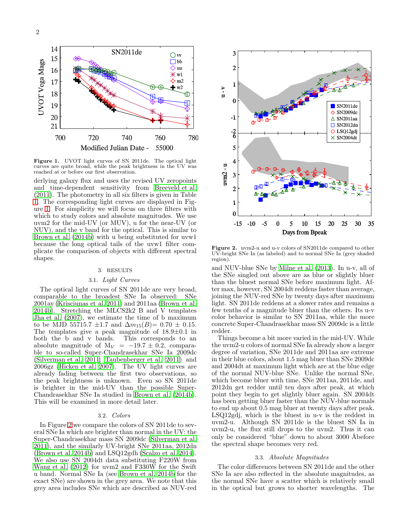

<span id="page-1-1"></span>Figure 1. UVOT light curves of SN 2011de. The optical light curves are quite broad, while the peak brightness in the UV was reached at or before our first observation.

derlying galaxy flux and uses the revised UV zeropoints and time-dependent sensitivity from [Breeveld et al.](#page-4-14) [\(2011\)](#page-4-14). The photometry in all six filters is given in Table [1.](#page-5-14) The corresponding light curves are displayed in Figure [1.](#page-1-1) For simplicity we will focus on three filters with which to study colors and absolute magnitudes. We use uvm2 for the mid-UV (or MUV), u for the near-UV (or NUV), and the v band for the optical. This is similar to [Brown et al. \(2014b\)](#page-4-7) with u being substituted for uvw1 because the long optical tails of the uvw1 filter complicate the comparison of objects with different spectral shapes.

## 3. RESULTS

## 3.1. Light Curves

<span id="page-1-0"></span>The optical light curves of SN 2011de are very broad, comparable to the broadest SNe Ia observed: SNe 2001ay [\(Krisciunas et al. 2011](#page-5-15)) and 2011aa [\(Brown et al.](#page-4-7) [2014b](#page-4-7)). Stretching the MLCS2k2 B and V templates [Jha et al. \(2007\)](#page-4-15), we estimate the time of b maximum to be MJD 55715.7  $\pm 1.7$  and  $\Delta m_{15}(B) = 0.70 \pm 0.15$ . The templates give a peak magnitude of 18.9±0.1 in both the b and v bands. This corresponds to an absolute magnitude of  $M_V = -19.7 \pm 0.2$ , comparable to so-called Super-Chandrasekhar SNe Ia 2009dc [\(Silverman et al. 2011](#page-5-8); [Taubenberger et al. 2011](#page-5-16)) and 2006gz [\(Hicken et al. 2007](#page-4-16)). The UV light curves are already fading between the first two observations, so the peak brightness is unknown. Even so SN 2011de is brighter in the mid-UV than the possible Super-Chandrasekhar SNe Ia studied in [Brown et al. \(2014b\)](#page-4-7). This will be examined in more detail later.

### 3.2. Colors

In Figure [2](#page-1-2) we compare the colors of SN 2011de to several SNe Ia which are brighter than normal in the UV: the Super-Chandrasekhar mass SN 2009dc [\(Silverman et al.](#page-5-8) [2011\)](#page-5-8), and the similarly UV-bright SNe 2011aa, 2012dn [\(Brown et al. 2014b\)](#page-4-7) and LSQ12gdh [\(Scalzo et al. 2014\)](#page-5-9). We also use SN 2004dt data substituting F220W from [Wang et al. \(2012](#page-5-6)) for uvm2 and F330W for the Swift u band. Normal SNe Ia (see [Brown et al. 2014b](#page-4-7) for the exact SNe) are shown in the grey area. We note that this grey area includes SNe which are described as NUV-red



<span id="page-1-2"></span>Figure 2. uvm2-u and u-v colors of SN2011de compared to other UV-bright SNe Ia (as labeled) and to normal SNe Ia (grey shaded region).

and NUV-blue SNe by [Milne et al. \(2013](#page-5-7)). In u-v, all of the SNe singled out above are as blue or slightly bluer than the bluest normal SNe before maximum light. After max, however, SN 2004dt reddens faster than average, joining the NUV-red SNe by twenty days after maximum light. SN 2011de reddens at a slower rates and remains a few tenths of a magnitude bluer than the others. Its u-v color behavior is similar to SN 2011aa, while the more concrete Super-Chandrasekhar mass SN 2009dc is a little redder.

Things become a bit more varied in the mid-UV. While the uvm2-u colors of normal SNe Ia already show a larger degree of variation, SNe 2011de and 2011aa are extreme in their blue colors, about 1.5 mag bluer than SNe 2009dc and 2004dt at maximum light which are at the blue edge of the normal NUV-blue SNe. Unlike the normal SNe, which become bluer with time, SNe 2011aa, 2011de, and 2012dn get redder until ten days after peak, at which point they begin to get slightly bluer again. SN 2004dt has been getting bluer faster than the NUV-blue normals to end up about 0.5 mag bluer at twenty days after peak. LSQ12gdj, which is the bluest in u-v is the reddest in uvm2-u. Although SN 2011de is the bluest SN Ia in uvm2-u, the flux still drops to the uvm2. Thus it can only be considered "blue" down to about 3000 Åbefore the spectral shape becomes very red.

## 3.3. Absolute Magnitudes

The color differences between SN 2011de and the other SNe Ia are also reflected in the absolute magnitudes, as the normal SNe have a scatter which is relatively small in the optical but grows to shorter wavelengths. The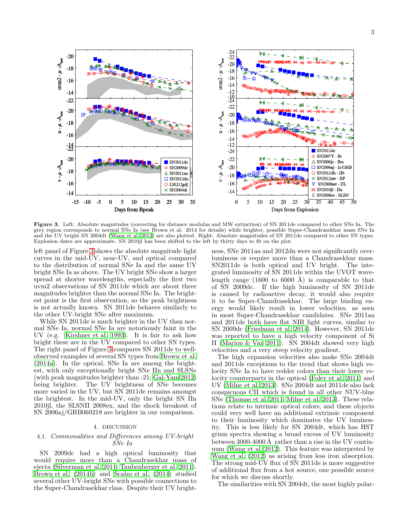

<span id="page-2-1"></span>Figure 3. Left: Absolute magnitudes (correcting for distance modulus and MW extinction) of SN 2011de compared to other SNe Ia. The grey region corresponds to normal SNe Ia (see Brown et al. 2014 for details) while brighter, possible Super-Chandrasekhar mass SNe Ia and the UV bright SN 2004dt [\(Wang et al. 2012](#page-5-6)) are also plotted. Right: Absolute magnitudes of SN 2011de compared to other SN types. Explosion dates are approximate. SN 2010jl has been shifted to the left by thirty days to fit on the plot.

left panel of Figure [3](#page-2-1) shows the absolute magnitude light curves in the mid-UV, near-UV, and optical compared to the distribution of normal SNe Ia and the same UV bright SNe Ia as above. The UV bright SNe show a larger spread at shorter wavelengths, especially the first two uvm2 observations of SN 2011de which are about three magnitudes brighter than the normal SNe Ia. The brightest point is the first observation, so the peak brightness is not actually known. SN 2011de behaves similarly to the other UV-bright SNe after maximum.

While SN 2011de is much brighter in the UV than normal SNe Ia, normal SNe Ia are notoriously faint in the UV (e.g. [Kirshner et al. 1993](#page-4-4)). It is fair to ask how bright these are in the UV compared to other SN types. The right panel of Figure [3](#page-2-1) compares SN 2011de to wellobserved examples of several SN types from [Brown et al.](#page-4-13) [\(2014a\)](#page-4-13). In the optical, SNe Ia are among the brightest, with only exceptionally bright SNe IIn and SLSNe (with peak magnitudes brighter than -21; [Gal-Yam 2012](#page-4-17)) being brighter. The UV brightness of SNe becomes more varied in the UV, but SN 2011de remains amongst the brightest. In the mid-UV, only the bright SN IIn 2010jl, the SLSNII 2008ex, and the shock breakout of SN 2006aj/GRB060218 are brighter in our comparison.

### 4. DISCUSSION

# <span id="page-2-0"></span>4.1. Commonalities and Differences among UV-bright SNe Ia

SN 2009dc had a high optical luminosity that would require more than a Chandrasekhar mass of ejecta [\(Silverman et al. 2011;](#page-5-8) [Taubenberger et al. 2011\)](#page-5-16). [Brown et al. \(2014b\)](#page-4-7) and [Scalzo et al. \(2014\)](#page-5-9) studied several other UV-bright SNe with possible connections to the Super-Chandrasekhar class. Despite their UV bright-

ness, SNe 2011aa and 2012dn were not significantly overluminous or require more than a Chandrasekhar mass. SN2011de is both optical and UV bright. The integrated luminosity of SN 2011de within the UVOT wavelength range (1600 to 6000 Å) is comparable to that of SN 2009dc. If the high luminosity of SN 2011de is caused by radioactive decay, it would also require it to be Super-Chandrasekhar. The large binding energy would likely result in lower velocities, as seen in most Super-Chandrasekhar candidates. SNe 2011aa and 2011de both have flat NIR light curves, similar to SN 2009dc [\(Friedman et al. 2014](#page-4-18)). However, SN 2011de was reported to have a high velocity component of Si II [\(Marion & Vaz 2011\)](#page-5-11). SN 2004dt showed very high velocities and a very steep velocity gradient.

The high expansion velocities also make SNe 2004dt and 2011de exceptions to the trend that shows high velocity SNe Ia to have redder colors than their lower velocity counterparts in the optical [\(Foley et al. 2011\)](#page-4-19) and UV [\(Milne et al. 2013\)](#page-5-7). SNe 2004dt and 2011de also lack conspicuous CII which is found in all other NUV-blue SNe [\(Thomas et al. 2011;](#page-5-17) [Milne et al. 2013\)](#page-5-7). These relations relate to intrinsic optical colors, and these objects could very well have an additional extrinsic component to their luminosity which dominates the UV luminosity. This is less likely for SN 2004dt, which has HST grism spectra showing a broad excess of UV luminosity between 3000-4000  $\AA$  rather than a rise in the UV continuum [\(Wang et al. 2012\)](#page-5-6). This feature was interpreted by [Wang et al. \(2012\)](#page-5-6) as arising from less iron absorption. The strong mid-UV flux of SN 2011de is more suggestive of additional flux from a hot source, one possible source for which we discuss shortly.

The similarities with SN 2004dt, the most highly polar-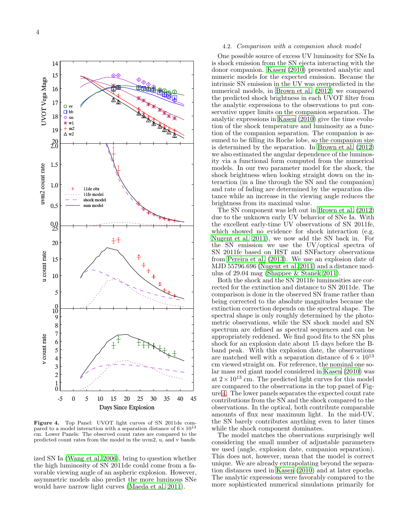

<span id="page-3-0"></span>**Figure 4.** Top Panel: UVOT light curves of SN 2011de compared to a model interaction with a separation distance of  $6 \times 10^{13}$ cm. Lower Panels: The observed count rates are compared to the predicted count rates from the model in the uvm2, u, and v bands.

ized SN Ia [\(Wang et al. 2006\)](#page-5-18), bring to question whether the high luminosity of SN 2011de could come from a favorable viewing angle of an aspheric explosion. However, asymmetric models also predict the more luminous SNe would have narrow light curves [\(Maeda et al. 2011\)](#page-5-19).

### 4.2. Comparison with a companion shock model

One possible source of excess UV luminosity for SNe Ia is shock emission from the SN ejecta interacting with the donor companion. [Kasen \(2010\)](#page-4-20) presented analytic and numeric models for the expected emission. Because the intrinsic SN emission in the UV was overpredicted in the numerical models, in [Brown et al. \(2012](#page-4-21)) we compared the predicted shock brightness in each UVOT filter from the analytic expressions to the observations to put conservative upper limits on the companion separation. The analytic expressions in [Kasen \(2010\)](#page-4-20) give the time evolution of the shock temperature and luminosity as a function of the companion separation. The companion is assumed to be filling its Roche lobe, so the companion size is determined by the separation. In [Brown et al. \(2012](#page-4-21)) we also estimated the angular dependence of the luminosity via a functional form computed from the numerical models. In our two parameter model for the shock, the shock brightness when looking straight down on the interaction (in a line through the SN and the companion) and rate of fading are determined by the separation distance while an increase in the viewing angle reduces the brightness from its maximal value.

The SN component was left out in [Brown et al. \(2012](#page-4-21)) due to the unknown early UV behavior of SNe Ia. With the excellent early-time UV observations of SN 2011fe, which showed no evidence for shock interaction (e.g. [Nugent et al. 2011\)](#page-5-20), we now add the SN back in. For the SN emission we use the UV/optical spectra of SN 2011fe based on HST and SNFactory observations from [Pereira et al. \(2013\)](#page-5-21). We use an explosion date of MJD 55796.696 [\(Nugent et al. 2011\)](#page-5-20) and a distance modulus of 29.04 mag [\(Shappee & Stanek 2011\)](#page-5-22).

Both the shock and the SN 2011fe luminosities are corrected for the extinction and distance to SN 2011de. The comparison is done in the observed SN frame rather than being corrected to the absolute magnitudes because the extinction correction depends on the spectral shape. The spectral shape is only roughly determined by the photometric observations, while the SN shock model and SN spectrum are defined as spectral sequences and can be appropriately reddened. We find good fits to the SN plus shock for an explosion date about 15 days before the Bband peak. With this explosion date, the observations are matched well with a separation distance of  $6 \times 10^{13}$ cm viewed straight on. For reference, the nominal one solar mass red giant model considered in [Kasen \(2010\)](#page-4-20) was at  $2 \times 10^{13}$  cm. The predicted light curves for this model are compared to the observations in the top panel of Figure [4.](#page-3-0) The lower panels separates the expected count rate contributions from the SN and the shock compared to the observations. In the optical, both contribute comparable amounts of flux near maximum light. In the mid-UV, the SN barely contributes anything even to later times while the shock component dominates.

The model matches the observations surprisingly well considering the small number of adjustable parameters we used (angle, explosion date, companion separation). This does not, however, mean that the model is correct unique. We are already extrapolating beyond the separation distances used in [Kasen \(2010\)](#page-4-20) and at later epochs. The analytic expressions were favorably compared to the more sophisticated numerical simulations primarily for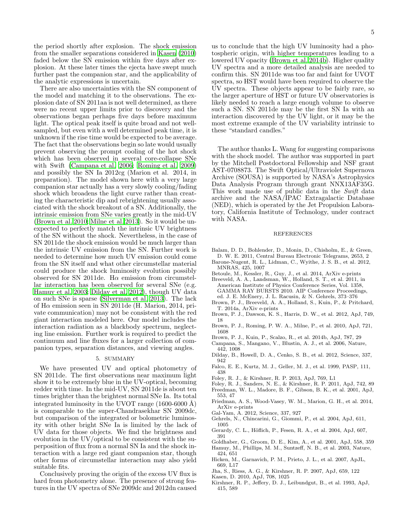the period shortly after explosion. The shock emission from the smaller separations considered in [Kasen \(2010](#page-4-20)) faded below the SN emission within five days after explosion. At these later times the ejecta have swept much further past the companion star, and the applicability of the analytic expressions is uncertain.

There are also uncertainties with the SN component of the model and matching it to the observations. The explosion date of SN 2011aa is not well determined, as there were no recent upper limits prior to discovery and the observations began perhaps five days before maximum light. The optical peak itself is quite broad and not wellsampled, but even with a well determined peak time, it is unknown if the rise time would be expected to be average. The fact that the observations begin so late would usually prevent observing the prompt cooling of the hot shock which has been observed in several core-collapse SNe with Swift [\(Campana et al. 2006;](#page-4-22) [Roming et al. 2009](#page-5-23)) and possibly the SN Ia 2012cg (Marion et al. 2014, in preparation). The model shown here with a very large companion star actually has a very slowly cooling/fading shock which broadens the light curve rather than creating the characteristic dip and rebrightening usually associated with the shock breakout of a SN. Additionally, the intrinsic emission from SNe varies greatly in the mid-UV [\(Brown et al. 2010;](#page-4-5) [Milne et al. 2013\)](#page-5-7). So it would be unexpected to perfectly match the intrinsic UV brightness of the SN without the shock. Nevertheless, in the case of SN 2011de the shock emission would be much larger than the intrinsic UV emission from the SN. Further work is needed to determine how much UV emission could come from the SN itself and what other circumstellar material could produce the shock luminosity evolution possibly observed for SN 2011de. H $\alpha$  emission from circumstellar interaction has been observed for several SNe (e.g. [Hamuy et al. 2003;](#page-4-23) [Dilday et al. 2012\)](#page-4-24), though UV data on such SNe is sparse [\(Silverman et al. 2013\)](#page-5-24). The lack of  $H\alpha$  emission seen in SN 2011de (H. Marion, 2014, private communication) may not be consistent with the red giant interaction modeled here. Our model includes the interaction radiation as a blackbody spectrum, neglecting line emission. Further work is required to predict the continuum and line fluxes for a larger collection of companion types, separation distances, and viewing angles.

### 5. SUMMARY

<span id="page-4-8"></span>We have presented UV and optical photometry of SN 2011de. The first observations near maximum light show it to be extremely blue in the UV-optical, becoming redder with time. In the mid-UV, SN 2011de is about ten times brighter than the brightest normal SNe Ia. Its total integrated luminosity in the UVOT range  $(1600-6000 \text{ Å})$ is comparable to the super-Chandrasekhar SN 2009dc, but comparison of the integrated or bolometric luminosity with other bright SNe Ia is limited by the lack of UV data for those objects. We find the brightness and evolution in the UV/optical to be consistent with the superposition of flux from a normal SN Ia and the shock interaction with a large red giant companion star, though other forms of circumstellar interaction may also yield suitable fits.

Conclusively proving the origin of the excess UV flux is hard from photometry alone. The presence of strong features in the UV spectra of SNe 2009dc and 2012dn caused

us to conclude that the high UV luminosity had a photospheric origin, with higher temperatures leading to a lowered UV opacity [\(Brown et al. 2014b\)](#page-4-7). Higher quality UV spectra and a more detailed analysis are needed to confirm this. SN 2011de was too far and faint for UVOT spectra, so HST would have been required to observe the UV spectra. These objects appear to be fairly rare, so the larger aperture of HST or future UV observatories is likely needed to reach a large enough volume to observe such a SN. SN 2011de may be the first SN Ia with an interaction discovered by the UV light, or it may be the most extreme example of the UV variability intrinsic to these "standard candles."

The author thanks L. Wang for suggesting comparisons with the shock model. The author was supported in part by the Mitchell Postdoctoral Fellowship and NSF grant AST-0708873. The Swift Optical/Ultraviolet Supernova Archive (SOUSA) is supported by NASA's Astrophysics Data Analysis Program through grant NNX13AF35G. This work made use of public data in the Swift data archive and the NASA/IPAC Extragalactic Database (NED), which is operated by the Jet Propulsion Laboratory, California Institute of Technology, under contract with NASA.

### REFERENCES

- <span id="page-4-9"></span>Balam, D. D., Bohlender, D., Monin, D., Chisholm, E., & Green, D. W. E. 2011, Central Bureau Electronic Telegrams, 2653, 2
- <span id="page-4-2"></span>Barone-Nugent, R. L., Lidman, C., Wyithe, J. S. B., et al. 2012, MNRAS, 425, 1007
- <span id="page-4-1"></span>Betoule, M., Kessler, R., Guy, J., et al. 2014, ArXiv e-prints
- <span id="page-4-14"></span>Breeveld, A. A., Landsman, W., Holland, S. T., et al. 2011, in
- American Institute of Physics Conference Series, Vol. 1358, GAMMA RAY BURSTS 2010. AIP Conference Proceedings, ed. J. E. McEnery, J. L. Racusin, & N. Gehrels, 373–376
- <span id="page-4-13"></span>Brown, P. J., Breeveld, A. A., Holland, S., Kuin, P., & Pritchard, T. 2014a, ArXiv e-prints
- <span id="page-4-21"></span>Brown, P. J., Dawson, K. S., Harris, D. W., et al. 2012, ApJ, 749, 18
- <span id="page-4-5"></span>Brown, P. J., Roming, P. W. A., Milne, P., et al. 2010, ApJ, 721, 1608
- <span id="page-4-7"></span>Brown, P. J., Kuin, P., Scalzo, R., et al. 2014b, ApJ, 787, 29
- <span id="page-4-22"></span>Campana, S., Mangano, V., Blustin, A. J., et al. 2006, Nature, 442, 1008
- <span id="page-4-24"></span>Dilday, B., Howell, D. A., Cenko, S. B., et al. 2012, Science, 337, 942
- <span id="page-4-11"></span>Falco, E. E., Kurtz, M. J., Geller, M. J., et al. 1999, PASP, 111, 438
- <span id="page-4-6"></span>Foley, R. J., & Kirshner, R. P. 2013, ApJ, 769, L1
- <span id="page-4-19"></span>Foley, R. J., Sanders, N. E., & Kirshner, R. P. 2011, ApJ, 742, 89 Freedman, W. L., Madore, B. F., Gibson, B. K., et al. 2001, ApJ,
- <span id="page-4-12"></span>553, 47
- <span id="page-4-18"></span>Friedman, A. S., Wood-Vasey, W. M., Marion, G. H., et al. 2014, ArXiv e-prints
- <span id="page-4-17"></span>Gal-Yam, A. 2012, Science, 337, 927
- <span id="page-4-3"></span>Gehrels, N., Chincarini, G., Giommi, P., et al. 2004, ApJ, 611, 1005
- <span id="page-4-10"></span>Gerardy, C. L., Höflich, P., Fesen, R. A., et al. 2004, ApJ, 607, 391
- <span id="page-4-0"></span>Goldhaber, G., Groom, D. E., Kim, A., et al. 2001, ApJ, 558, 359
- <span id="page-4-23"></span>Hamuy, M., Phillips, M. M., Suntzeff, N. B., et al. 2003, Nature, 424, 651
- <span id="page-4-16"></span>Hicken, M., Garnavich, P. M., Prieto, J. L., et al. 2007, ApJL, 669, L17
- <span id="page-4-15"></span>Jha, S., Riess, A. G., & Kirshner, R. P. 2007, ApJ, 659, 122
- <span id="page-4-20"></span>Kasen, D. 2010, ApJ, 708, 1025
- <span id="page-4-4"></span>Kirshner, R. P., Jeffery, D. J., Leibundgut, B., et al. 1993, ApJ, 415, 589